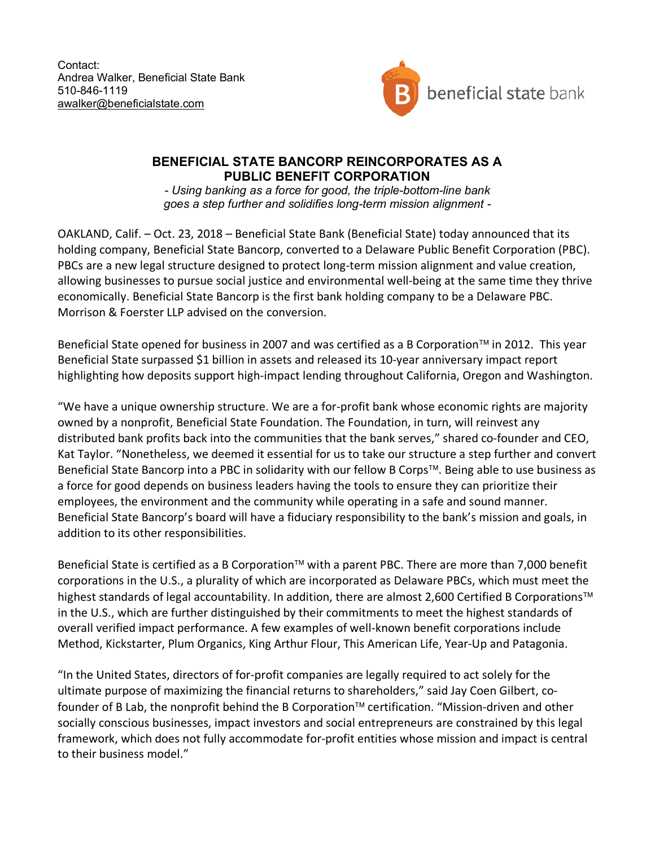Contact: Andrea Walker, Beneficial State Bank 510-846-1119 awalker@beneficialstate.com



## **BENEFICIAL STATE BANCORP REINCORPORATES AS A PUBLIC BENEFIT CORPORATION**

*- Using banking as a force for good, the triple-bottom-line bank goes a step further and solidifies long-term mission alignment -*

OAKLAND, Calif. – Oct. 23, 2018 – Beneficial State Bank (Beneficial State) today announced that its holding company, Beneficial State Bancorp, converted to a Delaware Public Benefit Corporation (PBC). PBCs are a new legal structure designed to protect long-term mission alignment and value creation, allowing businesses to pursue social justice and environmental well-being at the same time they thrive economically. Beneficial State Bancorp is the first bank holding company to be a Delaware PBC. Morrison & Foerster LLP advised on the conversion.

Beneficial State opened for business in 2007 and was certified as a B Corporation™ in 2012. This year Beneficial State surpassed \$1 billion in assets and released its 10-year anniversary impact report highlighting how deposits support high-impact lending throughout California, Oregon and Washington.

"We have a unique ownership structure. We are a for-profit bank whose economic rights are majority owned by a nonprofit, Beneficial State Foundation. The Foundation, in turn, will reinvest any distributed bank profits back into the communities that the bank serves," shared co-founder and CEO, Kat Taylor. "Nonetheless, we deemed it essential for us to take our structure a step further and convert Beneficial State Bancorp into a PBC in solidarity with our fellow B Corps™. Being able to use business as a force for good depends on business leaders having the tools to ensure they can prioritize their employees, the environment and the community while operating in a safe and sound manner. Beneficial State Bancorp's board will have a fiduciary responsibility to the bank's mission and goals, in addition to its other responsibilities.

Beneficial State is certified as a B Corporation™ with a parent PBC. There are more than 7,000 benefit corporations in the U.S., a plurality of which are incorporated as Delaware PBCs, which must meet the highest standards of legal accountability. In addition, there are almost 2,600 Certified B Corporations™ in the U.S., which are further distinguished by their commitments to meet the highest standards of overall verified impact performance. A few examples of well-known benefit corporations include Method, Kickstarter, Plum Organics, King Arthur Flour, This American Life, Year-Up and Patagonia.

"In the United States, directors of for-profit companies are legally required to act solely for the ultimate purpose of maximizing the financial returns to shareholders," said Jay Coen Gilbert, cofounder of B Lab, the nonprofit behind the B Corporation™ certification. "Mission-driven and other socially conscious businesses, impact investors and social entrepreneurs are constrained by this legal framework, which does not fully accommodate for-profit entities whose mission and impact is central to their business model."